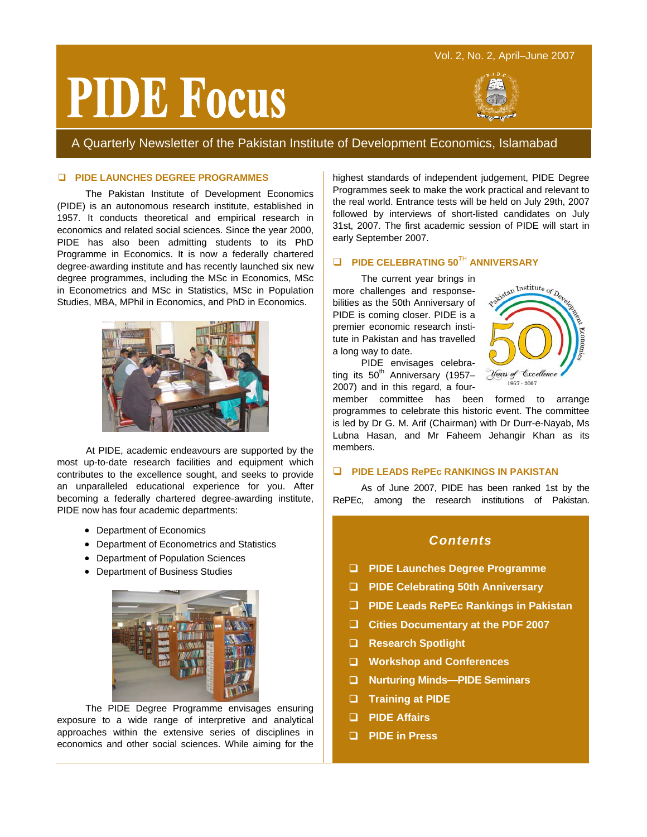# Vol. 2, No. 2, April–June 2007

# **PIDE Focus**



A Quarterly Newsletter of the Pakistan Institute of Development Economics, Islamabad

# **PIDE LAUNCHES DEGREE PROGRAMMES**

The Pakistan Institute of Development Economics (PIDE) is an autonomous research institute, established in 1957. It conducts theoretical and empirical research in economics and related social sciences. Since the year 2000, PIDE has also been admitting students to its PhD Programme in Economics. It is now a federally chartered degree-awarding institute and has recently launched six new degree programmes, including the MSc in Economics, MSc in Econometrics and MSc in Statistics, MSc in Population Studies, MBA, MPhil in Economics, and PhD in Economics.



At PIDE, academic endeavours are supported by the most up-to-date research facilities and equipment which contributes to the excellence sought, and seeks to provide an unparalleled educational experience for you. After becoming a federally chartered degree-awarding institute, PIDE now has four academic departments:

- Department of Economics
- Department of Econometrics and Statistics
- Department of Population Sciences
- Department of Business Studies



The PIDE Degree Programme envisages ensuring exposure to a wide range of interpretive and analytical approaches within the extensive series of disciplines in economics and other social sciences. While aiming for the

highest standards of independent judgement, PIDE Degree Programmes seek to make the work practical and relevant to the real world. Entrance tests will be held on July 29th, 2007 followed by interviews of short-listed candidates on July 31st, 2007. The first academic session of PIDE will start in early September 2007.

# **PIDE CELEBRATING 50<sup>TH</sup> ANNIVERSARY**

The current year brings in more challenges and responsebilities as the 50th Anniversary of PIDE is coming closer. PIDE is a premier economic research institute in Pakistan and has travelled a long way to date.



PIDE envisages celebrating its  $50^{th}$  Anniversary (1957– 2007) and in this regard, a four-

member committee has been formed to arrange programmes to celebrate this historic event. The committee is led by Dr G. M. Arif (Chairman) with Dr Durr-e-Nayab, Ms Lubna Hasan, and Mr Faheem Jehangir Khan as its members.

## **PIDE LEADS RePEc RANKINGS IN PAKISTAN**

As of June 2007, PIDE has been ranked 1st by the RePEc, among the research institutions of Pakistan.

# *Contents*

- **PIDE Launches Degree Programme**
- **PIDE Celebrating 50th Anniversary**
- **PIDE Leads RePEc Rankings in Pakistan**
- **Cities Documentary at the PDF 2007**
- **Research Spotlight**
- **Workshop and Conferences**
- **Nurturing Minds—PIDE Seminars**
- **Training at PIDE**
- **PIDE Affairs**
- **PIDE in Press**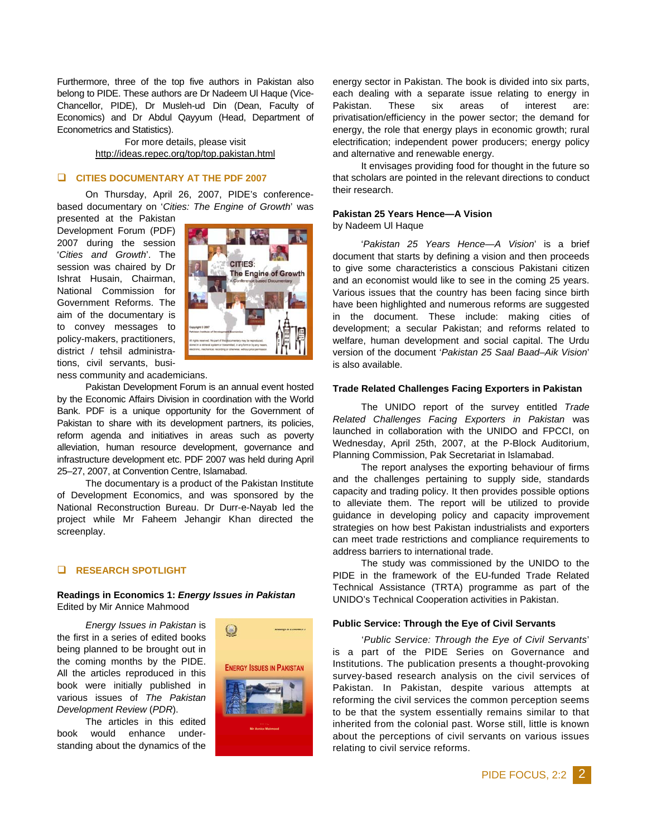Furthermore, three of the top five authors in Pakistan also belong to PIDE. These authors are Dr Nadeem Ul Haque (Vice-Chancellor, PIDE), Dr Musleh-ud Din (Dean, Faculty of Economics) and Dr Abdul Qayyum (Head, Department of Econometrics and Statistics).

> For more details, please visit http://ideas.repec.org/top/top.pakistan.html

## **CITIES DOCUMENTARY AT THE PDF 2007**

On Thursday, April 26, 2007, PIDE's conferencebased documentary on '*Cities: The Engine of Growth*' was

presented at the Pakistan Development Forum (PDF) 2007 during the session '*Cities and Growth*'. The session was chaired by Dr Ishrat Husain, Chairman, National Commission for Government Reforms. The aim of the documentary is to convey messages to policy-makers, practitioners, district / tehsil administrations, civil servants, busi-



ness community and academicians.

Pakistan Development Forum is an annual event hosted by the Economic Affairs Division in coordination with the World Bank. PDF is a unique opportunity for the Government of Pakistan to share with its development partners, its policies, reform agenda and initiatives in areas such as poverty alleviation, human resource development, governance and infrastructure development etc. PDF 2007 was held during April 25–27, 2007, at Convention Centre, Islamabad.

The documentary is a product of the Pakistan Institute of Development Economics, and was sponsored by the National Reconstruction Bureau. Dr Durr-e-Nayab led the project while Mr Faheem Jehangir Khan directed the screenplay.

## **RESEARCH SPOTLIGHT**

**Readings in Economics 1:** *Energy Issues in Pakistan*  Edited by Mir Annice Mahmood

*Energy Issues in Pakistan* is the first in a series of edited books being planned to be brought out in the coming months by the PIDE. All the articles reproduced in this book were initially published in various issues of *The Pakistan Development Review* (*PDR*).

The articles in this edited book would enhance understanding about the dynamics of the



energy sector in Pakistan. The book is divided into six parts, each dealing with a separate issue relating to energy in Pakistan. These six areas of interest are: privatisation/efficiency in the power sector; the demand for energy, the role that energy plays in economic growth; rural electrification; independent power producers; energy policy and alternative and renewable energy.

It envisages providing food for thought in the future so that scholars are pointed in the relevant directions to conduct their research.

# **Pakistan 25 Years Hence—A Vision**

by Nadeem Ul Haque

'*Pakistan 25 Years Hence—A Vision*' is a brief document that starts by defining a vision and then proceeds to give some characteristics a conscious Pakistani citizen and an economist would like to see in the coming 25 years. Various issues that the country has been facing since birth have been highlighted and numerous reforms are suggested in the document. These include: making cities of development; a secular Pakistan; and reforms related to welfare, human development and social capital. The Urdu version of the document '*Pakistan 25 Saal Baad–Aik Vision*' is also available.

#### **Trade Related Challenges Facing Exporters in Pakistan**

The UNIDO report of the survey entitled *Trade Related Challenges Facing Exporters in Pakistan* was launched in collaboration with the UNIDO and FPCCI, on Wednesday, April 25th, 2007, at the P-Block Auditorium, Planning Commission, Pak Secretariat in Islamabad.

The report analyses the exporting behaviour of firms and the challenges pertaining to supply side, standards capacity and trading policy. It then provides possible options to alleviate them. The report will be utilized to provide guidance in developing policy and capacity improvement strategies on how best Pakistan industrialists and exporters can meet trade restrictions and compliance requirements to address barriers to international trade.

The study was commissioned by the UNIDO to the PIDE in the framework of the EU-funded Trade Related Technical Assistance (TRTA) programme as part of the UNIDO's Technical Cooperation activities in Pakistan.

#### **Public Service: Through the Eye of Civil Servants**

'*Public Service: Through the Eye of Civil Servants*' is a part of the PIDE Series on Governance and Institutions. The publication presents a thought-provoking survey-based research analysis on the civil services of Pakistan. In Pakistan, despite various attempts at reforming the civil services the common perception seems to be that the system essentially remains similar to that inherited from the colonial past. Worse still, little is known about the perceptions of civil servants on various issues relating to civil service reforms.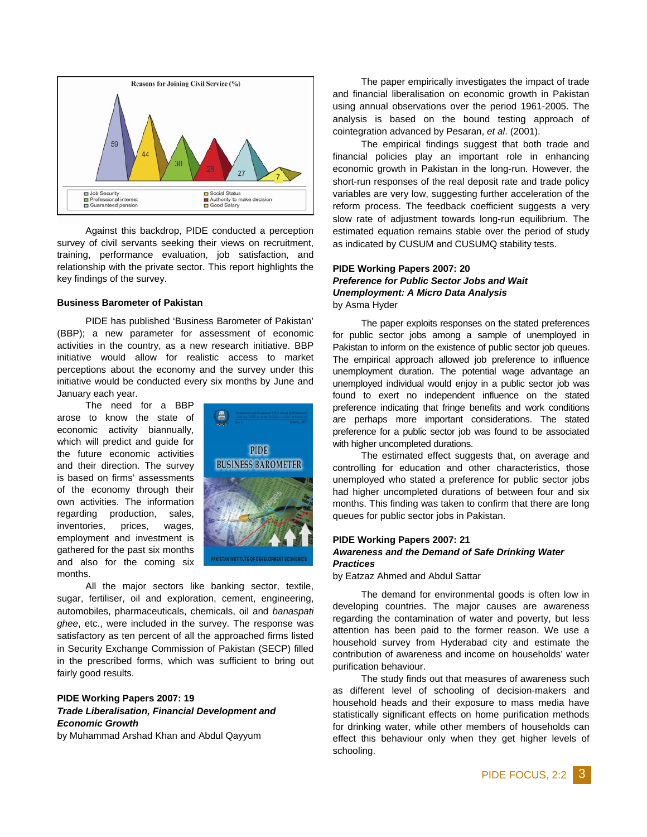

Against this backdrop, PIDE conducted a perception survey of civil servants seeking their views on recruitment, training, performance evaluation, job satisfaction, and relationship with the private sector. This report highlights the key findings of the survey.

#### **Business Barometer of Pakistan**

PIDE has published 'Business Barometer of Pakistan' (BBP); a new parameter for assessment of economic activities in the country, as a new research initiative. BBP initiative would allow for realistic access to market perceptions about the economy and the survey under this initiative would be conducted every six months by June and January each year.

The need for a BBP arose to know the state of economic activity biannually, which will predict and guide for the future economic activities and their direction. The survey is based on firms' assessments of the economy through their own activities. The information regarding production, sales, inventories, prices, wages, employment and investment is gathered for the past six months and also for the coming six months.



All the major sectors like banking sector, textile, sugar, fertiliser, oil and exploration, cement, engineering, automobiles, pharmaceuticals, chemicals, oil and *banaspati ghee*, etc., were included in the survey. The response was satisfactory as ten percent of all the approached firms listed in Security Exchange Commission of Pakistan (SECP) filled in the prescribed forms, which was sufficient to bring out fairly good results.

# **PIDE Working Papers 2007: 19**  *Trade Liberalisation, Financial Development and Economic Growth*

by Muhammad Arshad Khan and Abdul Qayyum

The paper empirically investigates the impact of trade and financial liberalisation on economic growth in Pakistan using annual observations over the period 1961-2005. The analysis is based on the bound testing approach of cointegration advanced by Pesaran, *et al*. (2001).

The empirical findings suggest that both trade and financial policies play an important role in enhancing economic growth in Pakistan in the long-run. However, the short-run responses of the real deposit rate and trade policy variables are very low, suggesting further acceleration of the reform process. The feedback coefficient suggests a very slow rate of adjustment towards long-run equilibrium. The estimated equation remains stable over the period of study as indicated by CUSUM and CUSUMQ stability tests.

## **PIDE Working Papers 2007: 20**  *Preference for Public Sector Jobs and Wait Unemployment: A Micro Data Analysis*  by Asma Hyder

The paper exploits responses on the stated preferences for public sector jobs among a sample of unemployed in Pakistan to inform on the existence of public sector job queues. The empirical approach allowed job preference to influence unemployment duration. The potential wage advantage an unemployed individual would enjoy in a public sector job was found to exert no independent influence on the stated preference indicating that fringe benefits and work conditions are perhaps more important considerations. The stated preference for a public sector job was found to be associated with higher uncompleted durations.

The estimated effect suggests that, on average and controlling for education and other characteristics, those unemployed who stated a preference for public sector jobs had higher uncompleted durations of between four and six months. This finding was taken to confirm that there are long queues for public sector jobs in Pakistan.

## **PIDE Working Papers 2007: 21**  *Awareness and the Demand of Safe Drinking Water Practices*

by Eatzaz Ahmed and Abdul Sattar

The demand for environmental goods is often low in developing countries. The major causes are awareness regarding the contamination of water and poverty, but less attention has been paid to the former reason. We use a household survey from Hyderabad city and estimate the contribution of awareness and income on households' water purification behaviour.

The study finds out that measures of awareness such as different level of schooling of decision-makers and household heads and their exposure to mass media have statistically significant effects on home purification methods for drinking water, while other members of households can effect this behaviour only when they get higher levels of schooling.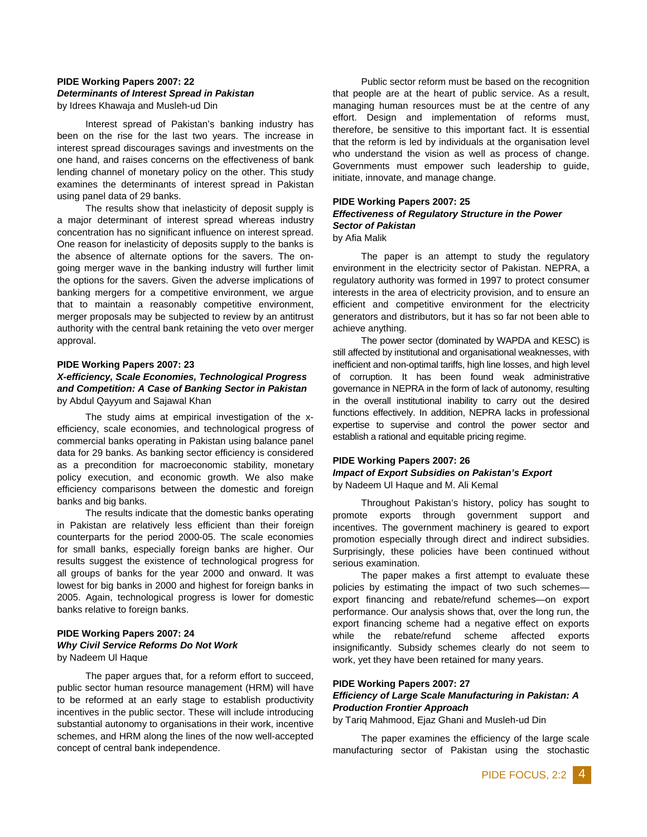### **PIDE Working Papers 2007: 22**  *Determinants of Interest Spread in Pakistan*  by Idrees Khawaja and Musleh-ud Din

Interest spread of Pakistan's banking industry has been on the rise for the last two years. The increase in interest spread discourages savings and investments on the one hand, and raises concerns on the effectiveness of bank lending channel of monetary policy on the other. This study examines the determinants of interest spread in Pakistan using panel data of 29 banks.

The results show that inelasticity of deposit supply is a major determinant of interest spread whereas industry concentration has no significant influence on interest spread. One reason for inelasticity of deposits supply to the banks is the absence of alternate options for the savers. The ongoing merger wave in the banking industry will further limit the options for the savers. Given the adverse implications of banking mergers for a competitive environment, we argue that to maintain a reasonably competitive environment, merger proposals may be subjected to review by an antitrust authority with the central bank retaining the veto over merger approval.

## **PIDE Working Papers 2007: 23**  *X-efficiency, Scale Economies, Technological Progress and Competition: A Case of Banking Sector in Pakistan*  by Abdul Qayyum and Sajawal Khan

The study aims at empirical investigation of the xefficiency, scale economies, and technological progress of commercial banks operating in Pakistan using balance panel data for 29 banks. As banking sector efficiency is considered as a precondition for macroeconomic stability, monetary policy execution, and economic growth. We also make efficiency comparisons between the domestic and foreign banks and big banks.

The results indicate that the domestic banks operating in Pakistan are relatively less efficient than their foreign counterparts for the period 2000-05. The scale economies for small banks, especially foreign banks are higher. Our results suggest the existence of technological progress for all groups of banks for the year 2000 and onward. It was lowest for big banks in 2000 and highest for foreign banks in 2005. Again, technological progress is lower for domestic banks relative to foreign banks.

## **PIDE Working Papers 2007: 24**  *Why Civil Service Reforms Do Not Work*  by Nadeem Ul Haque

The paper argues that, for a reform effort to succeed, public sector human resource management (HRM) will have to be reformed at an early stage to establish productivity incentives in the public sector. These will include introducing substantial autonomy to organisations in their work, incentive schemes, and HRM along the lines of the now well-accepted concept of central bank independence.

Public sector reform must be based on the recognition that people are at the heart of public service. As a result, managing human resources must be at the centre of any effort. Design and implementation of reforms must, therefore, be sensitive to this important fact. It is essential that the reform is led by individuals at the organisation level who understand the vision as well as process of change. Governments must empower such leadership to guide, initiate, innovate, and manage change.

## **PIDE Working Papers 2007: 25**

#### *Effectiveness of Regulatory Structure in the Power Sector of Pakistan*  by Afia Malik

The paper is an attempt to study the regulatory environment in the electricity sector of Pakistan. NEPRA, a regulatory authority was formed in 1997 to protect consumer interests in the area of electricity provision, and to ensure an efficient and competitive environment for the electricity generators and distributors, but it has so far not been able to achieve anything.

The power sector (dominated by WAPDA and KESC) is still affected by institutional and organisational weaknesses, with inefficient and non-optimal tariffs, high line losses, and high level of corruption. It has been found weak administrative governance in NEPRA in the form of lack of autonomy, resulting in the overall institutional inability to carry out the desired functions effectively. In addition, NEPRA lacks in professional expertise to supervise and control the power sector and establish a rational and equitable pricing regime.

#### **PIDE Working Papers 2007: 26**  *Impact of Export Subsidies on Pakistan's Export*  by Nadeem Ul Haque and M. Ali Kemal

Throughout Pakistan's history, policy has sought to promote exports through government support and incentives. The government machinery is geared to export promotion especially through direct and indirect subsidies. Surprisingly, these policies have been continued without serious examination.

The paper makes a first attempt to evaluate these policies by estimating the impact of two such schemes export financing and rebate/refund schemes—on export performance. Our analysis shows that, over the long run, the export financing scheme had a negative effect on exports while the rebate/refund scheme affected exports insignificantly. Subsidy schemes clearly do not seem to work, yet they have been retained for many years.

# **PIDE Working Papers 2007: 27**

## *Efficiency of Large Scale Manufacturing in Pakistan: A Production Frontier Approach*

by Tariq Mahmood, Ejaz Ghani and Musleh-ud Din

The paper examines the efficiency of the large scale manufacturing sector of Pakistan using the stochastic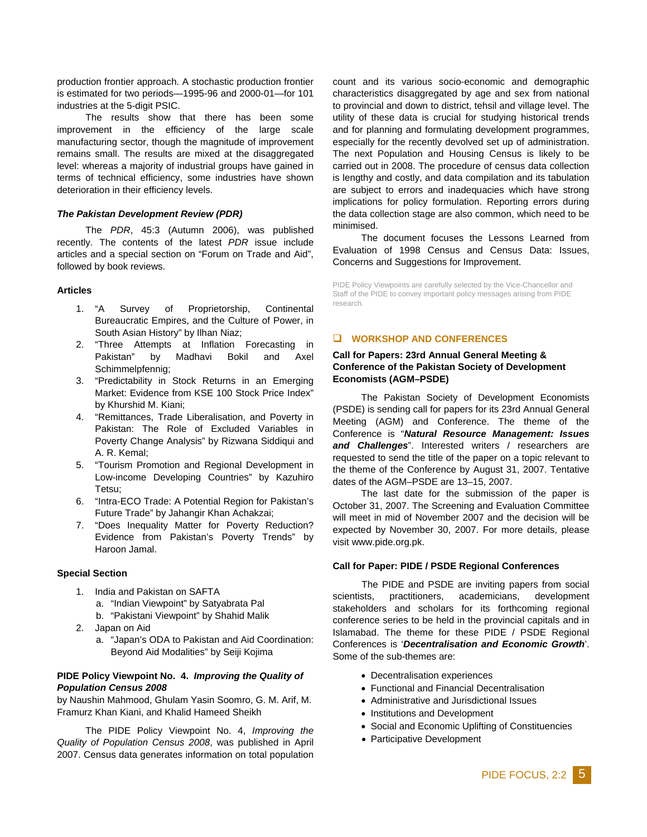production frontier approach. A stochastic production frontier is estimated for two periods—1995-96 and 2000-01—for 101 industries at the 5-digit PSIC.

The results show that there has been some improvement in the efficiency of the large scale manufacturing sector, though the magnitude of improvement remains small. The results are mixed at the disaggregated level: whereas a majority of industrial groups have gained in terms of technical efficiency, some industries have shown deterioration in their efficiency levels.

#### *The Pakistan Development Review (PDR)*

The *PDR*, 45:3 (Autumn 2006), was published recently. The contents of the latest *PDR* issue include articles and a special section on "Forum on Trade and Aid", followed by book reviews.

#### **Articles**

- 1. "A Survey of Proprietorship, Continental Bureaucratic Empires, and the Culture of Power, in South Asian History" by Ilhan Niaz;
- 2. "Three Attempts at Inflation Forecasting in Pakistan" by Madhavi Bokil and Axel Schimmelpfennig;
- 3. "Predictability in Stock Returns in an Emerging Market: Evidence from KSE 100 Stock Price Index" by Khurshid M. Kiani;
- 4. "Remittances, Trade Liberalisation, and Poverty in Pakistan: The Role of Excluded Variables in Poverty Change Analysis" by Rizwana Siddiqui and A. R. Kemal;
- 5. "Tourism Promotion and Regional Development in Low-income Developing Countries" by Kazuhiro Tetsu;
- 6. "Intra-ECO Trade: A Potential Region for Pakistan's Future Trade" by Jahangir Khan Achakzai;
- 7. "Does Inequality Matter for Poverty Reduction? Evidence from Pakistan's Poverty Trends" by Haroon Jamal.

#### **Special Section**

- 1. India and Pakistan on SAFTA a. "Indian Viewpoint" by Satyabrata Pal b. "Pakistani Viewpoint" by Shahid Malik
- 2. Japan on Aid
	- a. "Japan's ODA to Pakistan and Aid Coordination: Beyond Aid Modalities" by Seiji Kojima

## **PIDE Policy Viewpoint No. 4.** *Improving the Quality of Population Census 2008*

by Naushin Mahmood, Ghulam Yasin Soomro, G. M. Arif, M. Framurz Khan Kiani, and Khalid Hameed Sheikh

The PIDE Policy Viewpoint No. 4, *Improving the Quality of Population Census 2008*, was published in April 2007. Census data generates information on total population

count and its various socio-economic and demographic characteristics disaggregated by age and sex from national to provincial and down to district, tehsil and village level. The utility of these data is crucial for studying historical trends and for planning and formulating development programmes, especially for the recently devolved set up of administration. The next Population and Housing Census is likely to be carried out in 2008. The procedure of census data collection is lengthy and costly, and data compilation and its tabulation are subject to errors and inadequacies which have strong implications for policy formulation. Reporting errors during the data collection stage are also common, which need to be minimised.

The document focuses the Lessons Learned from Evaluation of 1998 Census and Census Data: Issues, Concerns and Suggestions for Improvement.

PIDE Policy Viewpoints are carefully selected by the Vice-Chancellor and Staff of the PIDE to convey important policy messages arising from PIDE research.

## **WORKSHOP AND CONFERENCES**

## **Call for Papers: 23rd Annual General Meeting & Conference of the Pakistan Society of Development Economists (AGM–PSDE)**

The Pakistan Society of Development Economists (PSDE) is sending call for papers for its 23rd Annual General Meeting (AGM) and Conference. The theme of the Conference is "*Natural Resource Management: Issues and Challenges*". Interested writers / researchers are requested to send the title of the paper on a topic relevant to the theme of the Conference by August 31, 2007. Tentative dates of the AGM–PSDE are 13–15, 2007.

The last date for the submission of the paper is October 31, 2007. The Screening and Evaluation Committee will meet in mid of November 2007 and the decision will be expected by November 30, 2007. For more details, please visit www.pide.org.pk.

#### **Call for Paper: PIDE / PSDE Regional Conferences**

The PIDE and PSDE are inviting papers from social scientists, practitioners, academicians, development stakeholders and scholars for its forthcoming regional conference series to be held in the provincial capitals and in Islamabad. The theme for these PIDE / PSDE Regional Conferences is '*Decentralisation and Economic Growth*'. Some of the sub-themes are:

- Decentralisation experiences
- Functional and Financial Decentralisation
- Administrative and Jurisdictional Issues
- Institutions and Development
- Social and Economic Uplifting of Constituencies
- Participative Development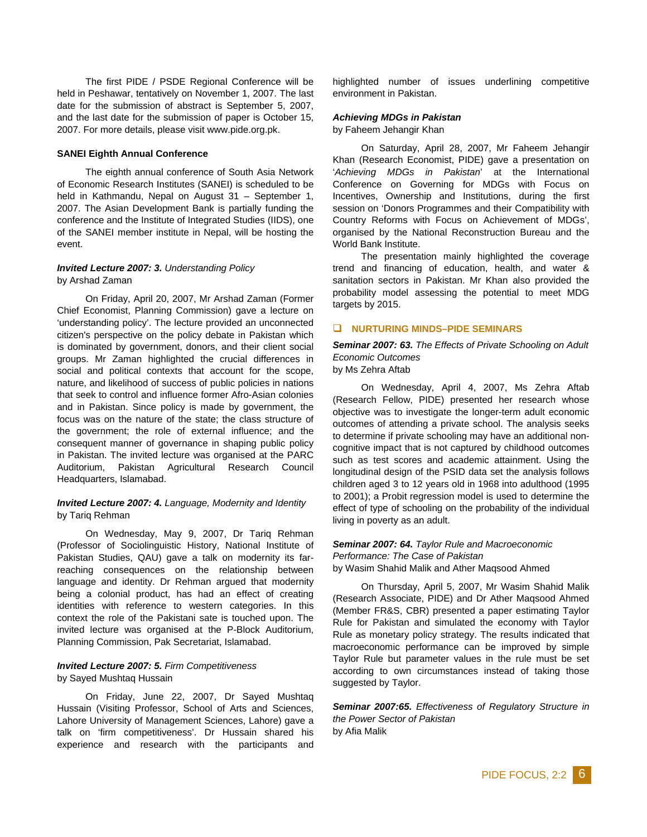The first PIDE / PSDE Regional Conference will be held in Peshawar, tentatively on November 1, 2007. The last date for the submission of abstract is September 5, 2007, and the last date for the submission of paper is October 15, 2007. For more details, please visit www.pide.org.pk.

#### **SANEI Eighth Annual Conference**

The eighth annual conference of South Asia Network of Economic Research Institutes (SANEI) is scheduled to be held in Kathmandu, Nepal on August 31 – September 1, 2007. The Asian Development Bank is partially funding the conference and the Institute of Integrated Studies (IIDS), one of the SANEI member institute in Nepal, will be hosting the event.

#### *Invited Lecture 2007: 3. Understanding Policy*  by Arshad Zaman

On Friday, April 20, 2007, Mr Arshad Zaman (Former Chief Economist, Planning Commission) gave a lecture on 'understanding policy'. The lecture provided an unconnected citizen's perspective on the policy debate in Pakistan which is dominated by government, donors, and their client social groups. Mr Zaman highlighted the crucial differences in social and political contexts that account for the scope, nature, and likelihood of success of public policies in nations that seek to control and influence former Afro-Asian colonies and in Pakistan. Since policy is made by government, the focus was on the nature of the state; the class structure of the government; the role of external influence; and the consequent manner of governance in shaping public policy in Pakistan. The invited lecture was organised at the PARC Auditorium, Pakistan Agricultural Research Council Headquarters, Islamabad.

## *Invited Lecture 2007: 4. Language, Modernity and Identity*  by Tariq Rehman

On Wednesday, May 9, 2007, Dr Tariq Rehman (Professor of Sociolinguistic History, National Institute of Pakistan Studies, QAU) gave a talk on modernity its farreaching consequences on the relationship between language and identity. Dr Rehman argued that modernity being a colonial product, has had an effect of creating identities with reference to western categories. In this context the role of the Pakistani sate is touched upon. The invited lecture was organised at the P-Block Auditorium, Planning Commission, Pak Secretariat, Islamabad.

#### *Invited Lecture 2007: 5. Firm Competitiveness*  by Sayed Mushtaq Hussain

On Friday, June 22, 2007, Dr Sayed Mushtaq Hussain (Visiting Professor, School of Arts and Sciences, Lahore University of Management Sciences, Lahore) gave a talk on 'firm competitiveness'. Dr Hussain shared his experience and research with the participants and highlighted number of issues underlining competitive environment in Pakistan.

#### *Achieving MDGs in Pakistan*

by Faheem Jehangir Khan

On Saturday, April 28, 2007, Mr Faheem Jehangir Khan (Research Economist, PIDE) gave a presentation on '*Achieving MDGs in Pakistan*' at the International Conference on Governing for MDGs with Focus on Incentives, Ownership and Institutions, during the first session on 'Donors Programmes and their Compatibility with Country Reforms with Focus on Achievement of MDGs', organised by the National Reconstruction Bureau and the World Bank Institute.

The presentation mainly highlighted the coverage trend and financing of education, health, and water & sanitation sectors in Pakistan. Mr Khan also provided the probability model assessing the potential to meet MDG targets by 2015.

#### **NURTURING MINDS–PIDE SEMINARS**

*Seminar 2007: 63. The Effects of Private Schooling on Adult Economic Outcomes* by Ms Zehra Aftab

On Wednesday, April 4, 2007, Ms Zehra Aftab (Research Fellow, PIDE) presented her research whose objective was to investigate the longer-term adult economic outcomes of attending a private school. The analysis seeks to determine if private schooling may have an additional noncognitive impact that is not captured by childhood outcomes such as test scores and academic attainment. Using the longitudinal design of the PSID data set the analysis follows children aged 3 to 12 years old in 1968 into adulthood (1995 to 2001); a Probit regression model is used to determine the effect of type of schooling on the probability of the individual living in poverty as an adult.

# *Seminar 2007: 64. Taylor Rule and Macroeconomic Performance: The Case of Pakistan*

by Wasim Shahid Malik and Ather Maqsood Ahmed

On Thursday, April 5, 2007, Mr Wasim Shahid Malik (Research Associate, PIDE) and Dr Ather Maqsood Ahmed (Member FR&S, CBR) presented a paper estimating Taylor Rule for Pakistan and simulated the economy with Taylor Rule as monetary policy strategy. The results indicated that macroeconomic performance can be improved by simple Taylor Rule but parameter values in the rule must be set according to own circumstances instead of taking those suggested by Taylor.

*Seminar 2007:65. Effectiveness of Regulatory Structure in the Power Sector of Pakistan* by Afia Malik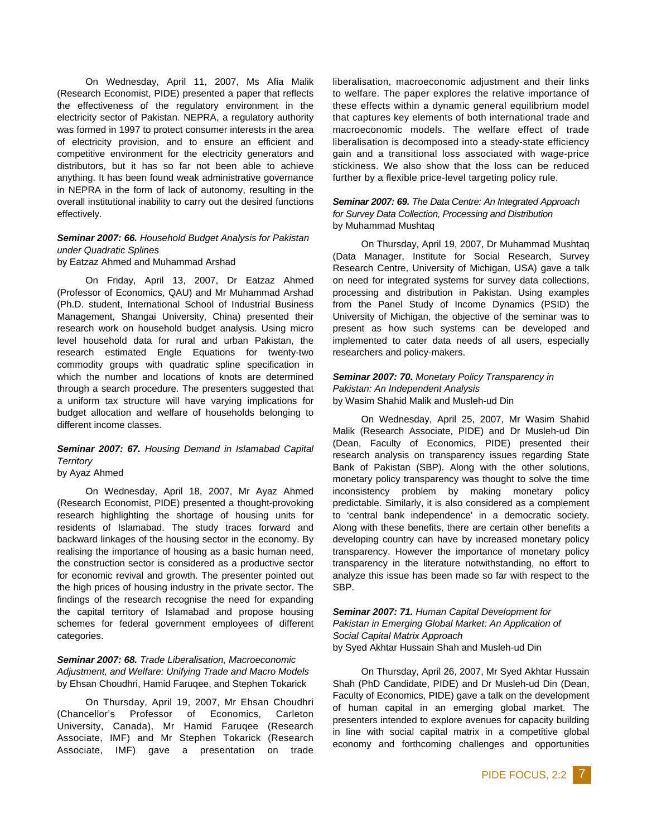On Wednesday, April 11, 2007, Ms Afia Malik (Research Economist, PIDE) presented a paper that reflects the effectiveness of the regulatory environment in the electricity sector of Pakistan. NEPRA, a regulatory authority was formed in 1997 to protect consumer interests in the area of electricity provision, and to ensure an efficient and competitive environment for the electricity generators and distributors, but it has so far not been able to achieve anything. It has been found weak administrative governance in NEPRA in the form of lack of autonomy, resulting in the overall institutional inability to carry out the desired functions effectively.

### *Seminar 2007: 66. Household Budget Analysis for Pakistan under Quadratic Splines* by Eatzaz Ahmed and Muhammad Arshad

On Friday, April 13, 2007, Dr Eatzaz Ahmed (Professor of Economics, QAU) and Mr Muhammad Arshad (Ph.D. student, International School of Industrial Business Management, Shangai University, China) presented their research work on household budget analysis. Using micro level household data for rural and urban Pakistan, the research estimated Engle Equations for twenty-two commodity groups with quadratic spline specification in which the number and locations of knots are determined through a search procedure. The presenters suggested that a uniform tax structure will have varying implications for budget allocation and welfare of households belonging to different income classes.

# *Seminar 2007: 67. Housing Demand in Islamabad Capital Territory*

by Ayaz Ahmed

On Wednesday, April 18, 2007, Mr Ayaz Ahmed (Research Economist, PIDE) presented a thought-provoking research highlighting the shortage of housing units for residents of Islamabad. The study traces forward and backward linkages of the housing sector in the economy. By realising the importance of housing as a basic human need, the construction sector is considered as a productive sector for economic revival and growth. The presenter pointed out the high prices of housing industry in the private sector. The findings of the research recognise the need for expanding the capital territory of Islamabad and propose housing schemes for federal government employees of different categories.

## *Seminar 2007: 68. Trade Liberalisation, Macroeconomic Adjustment, and Welfare: Unifying Trade and Macro Models* by Ehsan Choudhri, Hamid Faruqee, and Stephen Tokarick

On Thursday, April 19, 2007, Mr Ehsan Choudhri (Chancellor's Professor of Economics, Carleton University, Canada), Mr Hamid Faruqee (Research Associate, IMF) and Mr Stephen Tokarick (Research Associate, IMF) gave a presentation on trade

liberalisation, macroeconomic adjustment and their links to welfare. The paper explores the relative importance of these effects within a dynamic general equilibrium model that captures key elements of both international trade and macroeconomic models. The welfare effect of trade liberalisation is decomposed into a steady-state efficiency gain and a transitional loss associated with wage-price stickiness. We also show that the loss can be reduced further by a flexible price-level targeting policy rule.

## *Seminar 2007: 69. The Data Centre: An Integrated Approach for Survey Data Collection, Processing and Distribution* by Muhammad Mushtaq

On Thursday, April 19, 2007, Dr Muhammad Mushtaq (Data Manager, Institute for Social Research, Survey Research Centre, University of Michigan, USA) gave a talk on need for integrated systems for survey data collections, processing and distribution in Pakistan. Using examples from the Panel Study of Income Dynamics (PSID) the University of Michigan, the objective of the seminar was to present as how such systems can be developed and implemented to cater data needs of all users, especially researchers and policy-makers.

## *Seminar 2007: 70. Monetary Policy Transparency in Pakistan: An Independent Analysis* by Wasim Shahid Malik and Musleh-ud Din

On Wednesday, April 25, 2007, Mr Wasim Shahid Malik (Research Associate, PIDE) and Dr Musleh-ud Din (Dean, Faculty of Economics, PIDE) presented their research analysis on transparency issues regarding State Bank of Pakistan (SBP). Along with the other solutions, monetary policy transparency was thought to solve the time inconsistency problem by making monetary policy predictable. Similarly, it is also considered as a complement to 'central bank independence' in a democratic society. Along with these benefits, there are certain other benefits a developing country can have by increased monetary policy transparency. However the importance of monetary policy transparency in the literature notwithstanding, no effort to analyze this issue has been made so far with respect to the SBP.

*Seminar 2007: 71. Human Capital Development for Pakistan in Emerging Global Market: An Application of Social Capital Matrix Approach*  by Syed Akhtar Hussain Shah and Musleh-ud Din

On Thursday, April 26, 2007, Mr Syed Akhtar Hussain Shah (PhD Candidate, PIDE) and Dr Musleh-ud Din (Dean, Faculty of Economics, PIDE) gave a talk on the development of human capital in an emerging global market. The presenters intended to explore avenues for capacity building in line with social capital matrix in a competitive global economy and forthcoming challenges and opportunities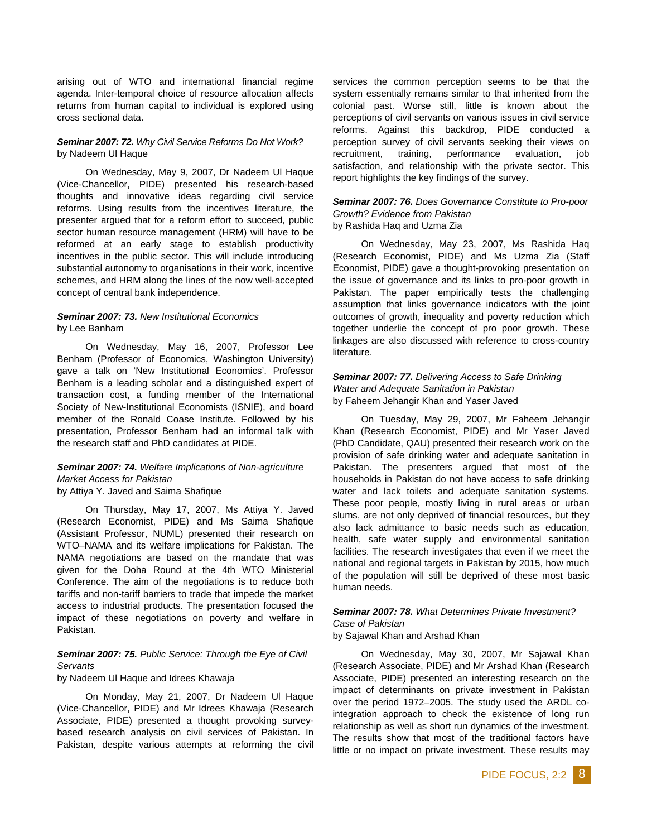arising out of WTO and international financial regime agenda. Inter-temporal choice of resource allocation affects returns from human capital to individual is explored using cross sectional data.

#### *Seminar 2007: 72. Why Civil Service Reforms Do Not Work?* by Nadeem Ul Haque

On Wednesday, May 9, 2007, Dr Nadeem Ul Haque (Vice-Chancellor, PIDE) presented his research-based thoughts and innovative ideas regarding civil service reforms. Using results from the incentives literature, the presenter argued that for a reform effort to succeed, public sector human resource management (HRM) will have to be reformed at an early stage to establish productivity incentives in the public sector. This will include introducing substantial autonomy to organisations in their work, incentive schemes, and HRM along the lines of the now well-accepted concept of central bank independence.

#### *Seminar 2007: 73. New Institutional Economics*  by Lee Banham

On Wednesday, May 16, 2007, Professor Lee Benham (Professor of Economics, Washington University) gave a talk on 'New Institutional Economics'. Professor Benham is a leading scholar and a distinguished expert of transaction cost, a funding member of the International Society of New-Institutional Economists (ISNIE), and board member of the Ronald Coase Institute. Followed by his presentation, Professor Benham had an informal talk with the research staff and PhD candidates at PIDE.

# *Seminar 2007: 74. Welfare Implications of Non-agriculture Market Access for Pakistan*

by Attiya Y. Javed and Saima Shafique

On Thursday, May 17, 2007, Ms Attiya Y. Javed (Research Economist, PIDE) and Ms Saima Shafique (Assistant Professor, NUML) presented their research on WTO–NAMA and its welfare implications for Pakistan. The NAMA negotiations are based on the mandate that was given for the Doha Round at the 4th WTO Ministerial Conference. The aim of the negotiations is to reduce both tariffs and non-tariff barriers to trade that impede the market access to industrial products. The presentation focused the impact of these negotiations on poverty and welfare in Pakistan.

# *Seminar 2007: 75. Public Service: Through the Eye of Civil Servants*

by Nadeem Ul Haque and Idrees Khawaja

On Monday, May 21, 2007, Dr Nadeem Ul Haque (Vice-Chancellor, PIDE) and Mr Idrees Khawaja (Research Associate, PIDE) presented a thought provoking surveybased research analysis on civil services of Pakistan. In Pakistan, despite various attempts at reforming the civil services the common perception seems to be that the system essentially remains similar to that inherited from the colonial past. Worse still, little is known about the perceptions of civil servants on various issues in civil service reforms. Against this backdrop, PIDE conducted a perception survey of civil servants seeking their views on recruitment, training, performance evaluation, job satisfaction, and relationship with the private sector. This report highlights the key findings of the survey.

#### *Seminar 2007: 76. Does Governance Constitute to Pro-poor Growth? Evidence from Pakistan*  by Rashida Haq and Uzma Zia

On Wednesday, May 23, 2007, Ms Rashida Haq (Research Economist, PIDE) and Ms Uzma Zia (Staff Economist, PIDE) gave a thought-provoking presentation on the issue of governance and its links to pro-poor growth in Pakistan. The paper empirically tests the challenging assumption that links governance indicators with the joint outcomes of growth, inequality and poverty reduction which together underlie the concept of pro poor growth. These linkages are also discussed with reference to cross-country literature.

## *Seminar 2007: 77. Delivering Access to Safe Drinking Water and Adequate Sanitation in Pakistan*  by Faheem Jehangir Khan and Yaser Javed

On Tuesday, May 29, 2007, Mr Faheem Jehangir Khan (Research Economist, PIDE) and Mr Yaser Javed (PhD Candidate, QAU) presented their research work on the provision of safe drinking water and adequate sanitation in Pakistan. The presenters argued that most of the households in Pakistan do not have access to safe drinking water and lack toilets and adequate sanitation systems. These poor people, mostly living in rural areas or urban slums, are not only deprived of financial resources, but they also lack admittance to basic needs such as education, health, safe water supply and environmental sanitation facilities. The research investigates that even if we meet the national and regional targets in Pakistan by 2015, how much of the population will still be deprived of these most basic human needs.

# *Seminar 2007: 78. What Determines Private Investment? Case of Pakistan*

by Sajawal Khan and Arshad Khan

On Wednesday, May 30, 2007, Mr Sajawal Khan (Research Associate, PIDE) and Mr Arshad Khan (Research Associate, PIDE) presented an interesting research on the impact of determinants on private investment in Pakistan over the period 1972–2005. The study used the ARDL cointegration approach to check the existence of long run relationship as well as short run dynamics of the investment. The results show that most of the traditional factors have little or no impact on private investment. These results may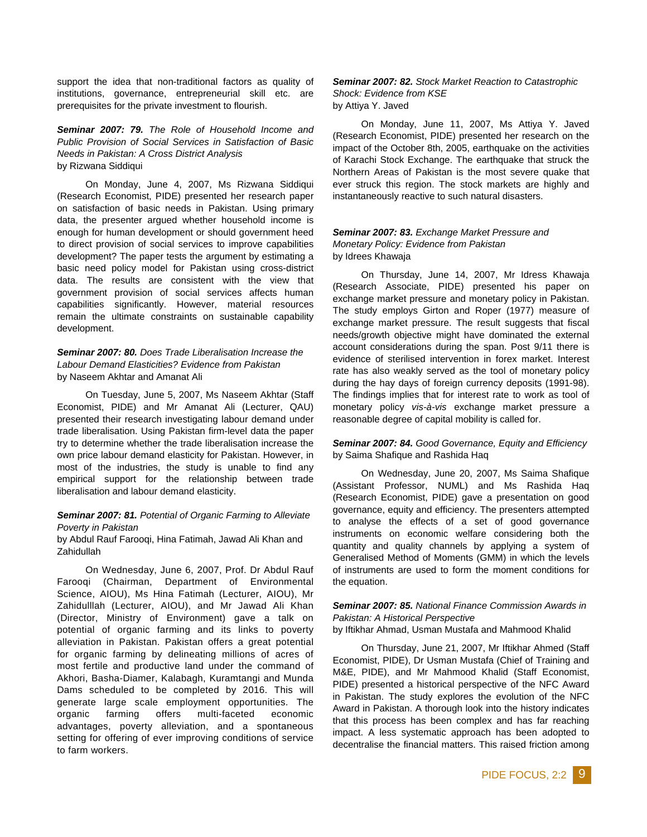support the idea that non-traditional factors as quality of institutions, governance, entrepreneurial skill etc. are prerequisites for the private investment to flourish.

*Seminar 2007: 79. The Role of Household Income and Public Provision of Social Services in Satisfaction of Basic Needs in Pakistan: A Cross District Analysis* by Rizwana Siddiqui

On Monday, June 4, 2007, Ms Rizwana Siddiqui (Research Economist, PIDE) presented her research paper on satisfaction of basic needs in Pakistan. Using primary data, the presenter argued whether household income is enough for human development or should government heed to direct provision of social services to improve capabilities development? The paper tests the argument by estimating a basic need policy model for Pakistan using cross-district data. The results are consistent with the view that government provision of social services affects human capabilities significantly. However, material resources remain the ultimate constraints on sustainable capability development.

*Seminar 2007: 80. Does Trade Liberalisation Increase the Labour Demand Elasticities? Evidence from Pakistan*  by Naseem Akhtar and Amanat Ali

On Tuesday, June 5, 2007, Ms Naseem Akhtar (Staff Economist, PIDE) and Mr Amanat Ali (Lecturer, QAU) presented their research investigating labour demand under trade liberalisation. Using Pakistan firm-level data the paper try to determine whether the trade liberalisation increase the own price labour demand elasticity for Pakistan. However, in most of the industries, the study is unable to find any empirical support for the relationship between trade liberalisation and labour demand elasticity.

## *Seminar 2007: 81. Potential of Organic Farming to Alleviate Poverty in Pakistan*

by Abdul Rauf Farooqi, Hina Fatimah, Jawad Ali Khan and Zahidullah

On Wednesday, June 6, 2007, Prof. Dr Abdul Rauf Farooqi (Chairman, Department of Environmental Science, AIOU), Ms Hina Fatimah (Lecturer, AIOU), Mr Zahidulllah (Lecturer, AIOU), and Mr Jawad Ali Khan (Director, Ministry of Environment) gave a talk on potential of organic farming and its links to poverty alleviation in Pakistan. Pakistan offers a great potential for organic farming by delineating millions of acres of most fertile and productive land under the command of Akhori, Basha-Diamer, Kalabagh, Kuramtangi and Munda Dams scheduled to be completed by 2016. This will generate large scale employment opportunities. The organic farming offers multi-faceted economic advantages, poverty alleviation, and a spontaneous setting for offering of ever improving conditions of service to farm workers.

*Seminar 2007: 82. Stock Market Reaction to Catastrophic Shock: Evidence from KSE*  by Attiya Y. Javed

On Monday, June 11, 2007, Ms Attiya Y. Javed (Research Economist, PIDE) presented her research on the impact of the October 8th, 2005, earthquake on the activities of Karachi Stock Exchange. The earthquake that struck the Northern Areas of Pakistan is the most severe quake that ever struck this region. The stock markets are highly and instantaneously reactive to such natural disasters.

# *Seminar 2007: 83. Exchange Market Pressure and Monetary Policy: Evidence from Pakistan*  by Idrees Khawaja

On Thursday, June 14, 2007, Mr Idress Khawaja (Research Associate, PIDE) presented his paper on exchange market pressure and monetary policy in Pakistan. The study employs Girton and Roper (1977) measure of exchange market pressure. The result suggests that fiscal needs/growth objective might have dominated the external account considerations during the span. Post 9/11 there is evidence of sterilised intervention in forex market. Interest rate has also weakly served as the tool of monetary policy during the hay days of foreign currency deposits (1991-98). The findings implies that for interest rate to work as tool of monetary policy *vis-à-vis* exchange market pressure a reasonable degree of capital mobility is called for.

#### *Seminar 2007: 84. Good Governance, Equity and Efficiency*  by Saima Shafique and Rashida Haq

On Wednesday, June 20, 2007, Ms Saima Shafique (Assistant Professor, NUML) and Ms Rashida Haq (Research Economist, PIDE) gave a presentation on good governance, equity and efficiency. The presenters attempted to analyse the effects of a set of good governance instruments on economic welfare considering both the quantity and quality channels by applying a system of Generalised Method of Moments (GMM) in which the levels of instruments are used to form the moment conditions for the equation.

# *Seminar 2007: 85. National Finance Commission Awards in Pakistan: A Historical Perspective*

by Iftikhar Ahmad, Usman Mustafa and Mahmood Khalid

On Thursday, June 21, 2007, Mr Iftikhar Ahmed (Staff Economist, PIDE), Dr Usman Mustafa (Chief of Training and M&E, PIDE), and Mr Mahmood Khalid (Staff Economist, PIDE) presented a historical perspective of the NFC Award in Pakistan. The study explores the evolution of the NFC Award in Pakistan. A thorough look into the history indicates that this process has been complex and has far reaching impact. A less systematic approach has been adopted to decentralise the financial matters. This raised friction among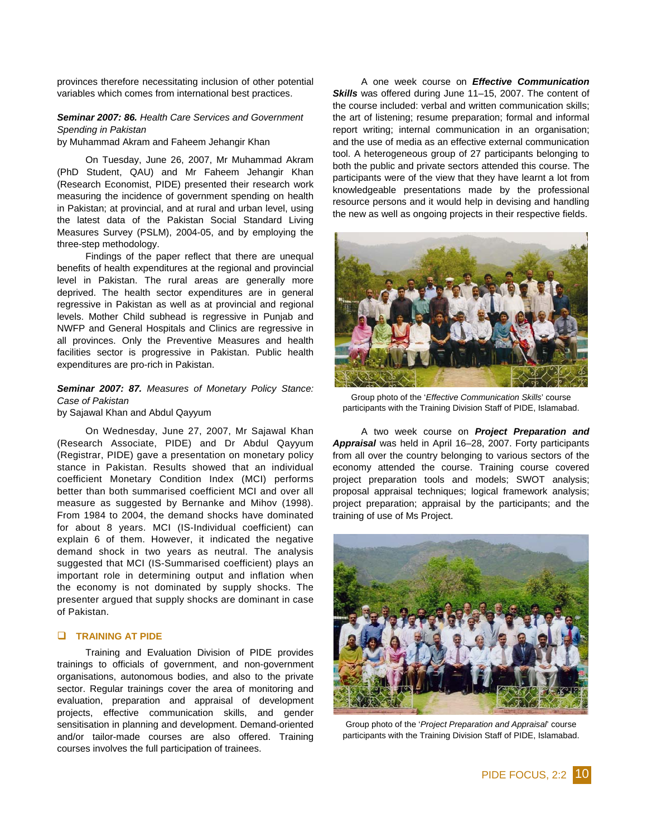provinces therefore necessitating inclusion of other potential variables which comes from international best practices.

# *Seminar 2007: 86. Health Care Services and Government Spending in Pakistan*

by Muhammad Akram and Faheem Jehangir Khan

On Tuesday, June 26, 2007, Mr Muhammad Akram (PhD Student, QAU) and Mr Faheem Jehangir Khan (Research Economist, PIDE) presented their research work measuring the incidence of government spending on health in Pakistan; at provincial, and at rural and urban level, using the latest data of the Pakistan Social Standard Living Measures Survey (PSLM), 2004-05, and by employing the three-step methodology.

Findings of the paper reflect that there are unequal benefits of health expenditures at the regional and provincial level in Pakistan. The rural areas are generally more deprived. The health sector expenditures are in general regressive in Pakistan as well as at provincial and regional levels. Mother Child subhead is regressive in Punjab and NWFP and General Hospitals and Clinics are regressive in all provinces. Only the Preventive Measures and health facilities sector is progressive in Pakistan. Public health expenditures are pro-rich in Pakistan.

# *Seminar 2007: 87. Measures of Monetary Policy Stance: Case of Pakistan*

by Sajawal Khan and Abdul Qayyum

On Wednesday, June 27, 2007, Mr Sajawal Khan (Research Associate, PIDE) and Dr Abdul Qayyum (Registrar, PIDE) gave a presentation on monetary policy stance in Pakistan. Results showed that an individual coefficient Monetary Condition Index (MCI) performs better than both summarised coefficient MCI and over all measure as suggested by Bernanke and Mihov (1998). From 1984 to 2004, the demand shocks have dominated for about 8 years. MCI (IS-Individual coefficient) can explain 6 of them. However, it indicated the negative demand shock in two years as neutral. The analysis suggested that MCI (IS-Summarised coefficient) plays an important role in determining output and inflation when the economy is not dominated by supply shocks. The presenter argued that supply shocks are dominant in case of Pakistan.

#### **TRAINING AT PIDE**

Training and Evaluation Division of PIDE provides trainings to officials of government, and non-government organisations, autonomous bodies, and also to the private sector. Regular trainings cover the area of monitoring and evaluation, preparation and appraisal of development projects, effective communication skills, and gender sensitisation in planning and development. Demand-oriented and/or tailor-made courses are also offered. Training courses involves the full participation of trainees.

A one week course on *Effective Communication Skills* was offered during June 11–15, 2007. The content of the course included: verbal and written communication skills; the art of listening; resume preparation; formal and informal report writing; internal communication in an organisation; and the use of media as an effective external communication tool. A heterogeneous group of 27 participants belonging to both the public and private sectors attended this course. The participants were of the view that they have learnt a lot from knowledgeable presentations made by the professional resource persons and it would help in devising and handling the new as well as ongoing projects in their respective fields.



Group photo of the '*Effective Communication Skills*' course participants with the Training Division Staff of PIDE, Islamabad.

A two week course on *Project Preparation and Appraisal* was held in April 16–28, 2007. Forty participants from all over the country belonging to various sectors of the economy attended the course. Training course covered project preparation tools and models; SWOT analysis; proposal appraisal techniques; logical framework analysis; project preparation; appraisal by the participants; and the training of use of Ms Project.



Group photo of the '*Project Preparation and Appraisal*' course participants with the Training Division Staff of PIDE, Islamabad.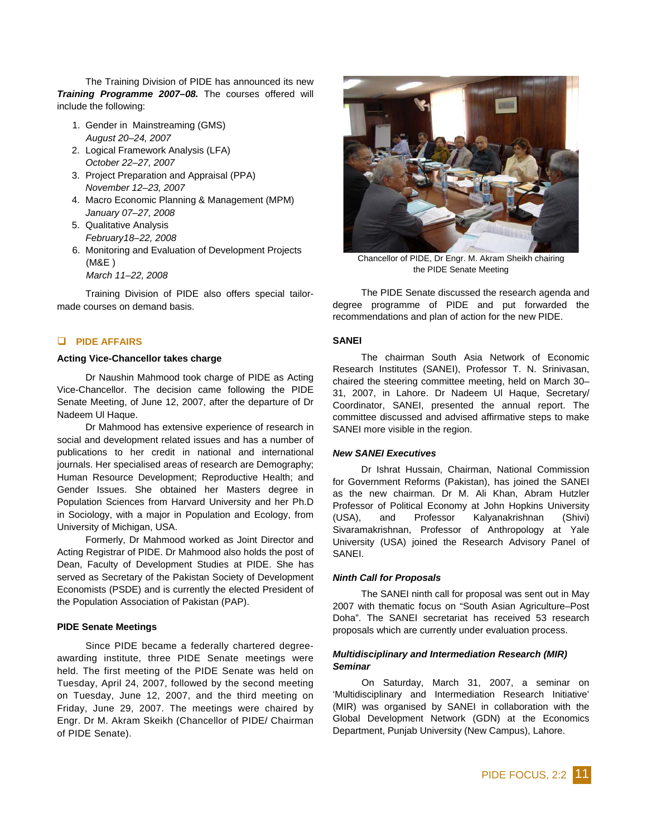The Training Division of PIDE has announced its new *Training Programme 2007–08.* The courses offered will include the following:

- 1. Gender in Mainstreaming (GMS) *August 20–24, 2007*
- 2. Logical Framework Analysis (LFA) *October 22–27, 2007*
- 3. Project Preparation and Appraisal (PPA) *November 12–23, 2007*
- 4. Macro Economic Planning & Management (MPM) *January 07–27, 2008*
- 5. Qualitative Analysis *February18–22, 2008*
- 6. Monitoring and Evaluation of Development Projects (M&E )
	- *March 11–22, 2008*

Training Division of PIDE also offers special tailormade courses on demand basis.

## **PIDE AFFAIRS**

#### **Acting Vice-Chancellor takes charge**

Dr Naushin Mahmood took charge of PIDE as Acting Vice-Chancellor. The decision came following the PIDE Senate Meeting, of June 12, 2007, after the departure of Dr Nadeem Ul Haque.

Dr Mahmood has extensive experience of research in social and development related issues and has a number of publications to her credit in national and international journals. Her specialised areas of research are Demography; Human Resource Development; Reproductive Health; and Gender Issues. She obtained her Masters degree in Population Sciences from Harvard University and her Ph.D in Sociology, with a major in Population and Ecology, from University of Michigan, USA.

Formerly, Dr Mahmood worked as Joint Director and Acting Registrar of PIDE. Dr Mahmood also holds the post of Dean, Faculty of Development Studies at PIDE. She has served as Secretary of the Pakistan Society of Development Economists (PSDE) and is currently the elected President of the Population Association of Pakistan (PAP).

#### **PIDE Senate Meetings**

Since PIDE became a federally chartered degreeawarding institute, three PIDE Senate meetings were held. The first meeting of the PIDE Senate was held on Tuesday, April 24, 2007, followed by the second meeting on Tuesday, June 12, 2007, and the third meeting on Friday, June 29, 2007. The meetings were chaired by Engr. Dr M. Akram Skeikh (Chancellor of PIDE/ Chairman of PIDE Senate).



Chancellor of PIDE, Dr Engr. M. Akram Sheikh chairing the PIDE Senate Meeting

The PIDE Senate discussed the research agenda and degree programme of PIDE and put forwarded the recommendations and plan of action for the new PIDE.

#### **SANEI**

The chairman South Asia Network of Economic Research Institutes (SANEI), Professor T. N. Srinivasan, chaired the steering committee meeting, held on March 30– 31, 2007, in Lahore. Dr Nadeem Ul Haque, Secretary/ Coordinator, SANEI, presented the annual report. The committee discussed and advised affirmative steps to make SANEI more visible in the region.

## *New SANEI Executives*

Dr Ishrat Hussain, Chairman, National Commission for Government Reforms (Pakistan), has joined the SANEI as the new chairman. Dr M. Ali Khan, Abram Hutzler Professor of Political Economy at John Hopkins University (USA), and Professor Kalyanakrishnan (Shivi) Sivaramakrishnan, Professor of Anthropology at Yale University (USA) joined the Research Advisory Panel of SANEI.

#### *Ninth Call for Proposals*

The SANEI ninth call for proposal was sent out in May 2007 with thematic focus on "South Asian Agriculture–Post Doha". The SANEI secretariat has received 53 research proposals which are currently under evaluation process.

### *Multidisciplinary and Intermediation Research (MIR) Seminar*

On Saturday, March 31, 2007, a seminar on 'Multidisciplinary and Intermediation Research Initiative' (MIR) was organised by SANEI in collaboration with the Global Development Network (GDN) at the Economics Department, Punjab University (New Campus), Lahore.